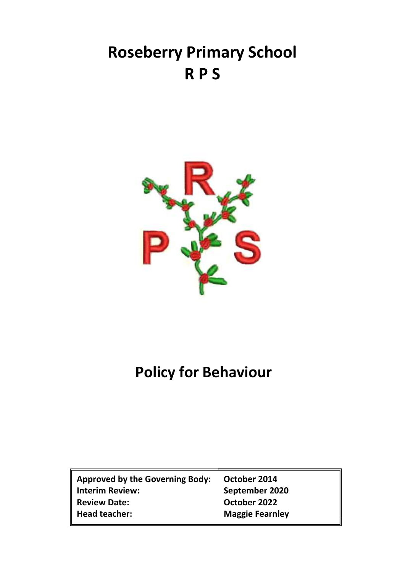# **Roseberry Primary School R P S**



# **Policy for Behaviour**

**Approved by the Governing Body: October 2014 Review Date: October 2022 Head teacher: Maggie Fearnley**

**Interim Review: September 2020**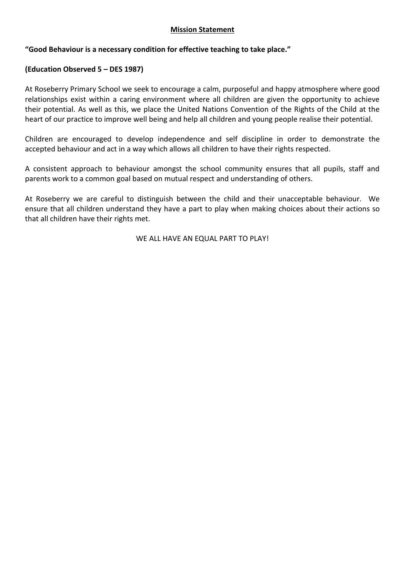#### **Mission Statement**

#### **"Good Behaviour is a necessary condition for effective teaching to take place."**

#### **(Education Observed 5 – DES 1987)**

At Roseberry Primary School we seek to encourage a calm, purposeful and happy atmosphere where good relationships exist within a caring environment where all children are given the opportunity to achieve their potential. As well as this, we place the United Nations Convention of the Rights of the Child at the heart of our practice to improve well being and help all children and young people realise their potential.

Children are encouraged to develop independence and self discipline in order to demonstrate the accepted behaviour and act in a way which allows all children to have their rights respected.

A consistent approach to behaviour amongst the school community ensures that all pupils, staff and parents work to a common goal based on mutual respect and understanding of others.

At Roseberry we are careful to distinguish between the child and their unacceptable behaviour. We ensure that all children understand they have a part to play when making choices about their actions so that all children have their rights met.

WE ALL HAVE AN EQUAL PART TO PLAY!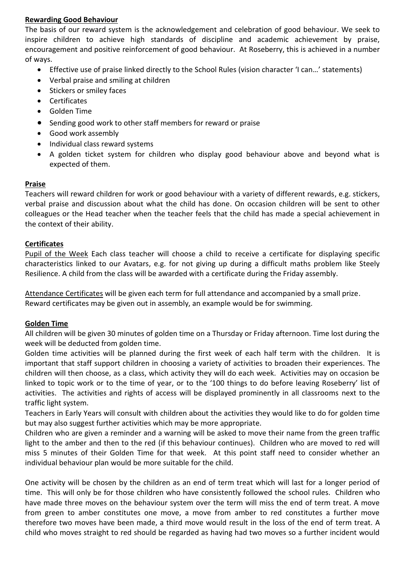# **Rewarding Good Behaviour**

The basis of our reward system is the acknowledgement and celebration of good behaviour. We seek to inspire children to achieve high standards of discipline and academic achievement by praise, encouragement and positive reinforcement of good behaviour. At Roseberry, this is achieved in a number of ways.

- Effective use of praise linked directly to the School Rules (vision character 'I can…' statements)
- Verbal praise and smiling at children
- Stickers or smiley faces
- Certificates
- Golden Time
- Sending good work to other staff members for reward or praise
- Good work assembly
- Individual class reward systems
- A golden ticket system for children who display good behaviour above and beyond what is expected of them.

# **Praise**

Teachers will reward children for work or good behaviour with a variety of different rewards, e.g. stickers, verbal praise and discussion about what the child has done. On occasion children will be sent to other colleagues or the Head teacher when the teacher feels that the child has made a special achievement in the context of their ability.

#### **Certificates**

Pupil of the Week Each class teacher will choose a child to receive a certificate for displaying specific characteristics linked to our Avatars, e.g. for not giving up during a difficult maths problem like Steely Resilience. A child from the class will be awarded with a certificate during the Friday assembly.

Attendance Certificates will be given each term for full attendance and accompanied by a small prize. Reward certificates may be given out in assembly, an example would be for swimming.

# **Golden Time**

All children will be given 30 minutes of golden time on a Thursday or Friday afternoon. Time lost during the week will be deducted from golden time.

Golden time activities will be planned during the first week of each half term with the children. It is important that staff support children in choosing a variety of activities to broaden their experiences. The children will then choose, as a class, which activity they will do each week. Activities may on occasion be linked to topic work or to the time of year, or to the '100 things to do before leaving Roseberry' list of activities. The activities and rights of access will be displayed prominently in all classrooms next to the traffic light system.

Teachers in Early Years will consult with children about the activities they would like to do for golden time but may also suggest further activities which may be more appropriate.

Children who are given a reminder and a warning will be asked to move their name from the green traffic light to the amber and then to the red (if this behaviour continues). Children who are moved to red will miss 5 minutes of their Golden Time for that week. At this point staff need to consider whether an individual behaviour plan would be more suitable for the child.

One activity will be chosen by the children as an end of term treat which will last for a longer period of time. This will only be for those children who have consistently followed the school rules. Children who have made three moves on the behaviour system over the term will miss the end of term treat. A move from green to amber constitutes one move, a move from amber to red constitutes a further move therefore two moves have been made, a third move would result in the loss of the end of term treat. A child who moves straight to red should be regarded as having had two moves so a further incident would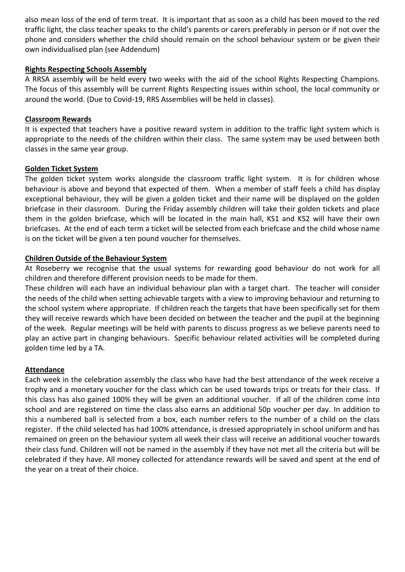also mean loss of the end of term treat. It is important that as soon as a child has been moved to the red traffic light, the class teacher speaks to the child's parents or carers preferably in person or if not over the phone and considers whether the child should remain on the school behaviour system or be given their own individualised plan (see Addendum)

#### **Rights Respecting Schools Assembly**

A RRSA assembly will be held every two weeks with the aid of the school Rights Respecting Champions. The focus of this assembly will be current Rights Respecting issues within school, the local community or around the world. (Due to Covid-19, RRS Assemblies will be held in classes).

#### **Classroom Rewards**

It is expected that teachers have a positive reward system in addition to the traffic light system which is appropriate to the needs of the children within their class. The same system may be used between both classes in the same year group.

#### **Golden Ticket System**

The golden ticket system works alongside the classroom traffic light system. It is for children whose behaviour is above and beyond that expected of them. When a member of staff feels a child has display exceptional behaviour, they will be given a golden ticket and their name will be displayed on the golden briefcase in their classroom. During the Friday assembly children will take their golden tickets and place them in the golden briefcase, which will be located in the main hall, KS1 and KS2 will have their own briefcases. At the end of each term a ticket will be selected from each briefcase and the child whose name is on the ticket will be given a ten pound voucher for themselves.

#### **Children Outside of the Behaviour System**

At Roseberry we recognise that the usual systems for rewarding good behaviour do not work for all children and therefore different provision needs to be made for them.

These children will each have an individual behaviour plan with a target chart. The teacher will consider the needs of the child when setting achievable targets with a view to improving behaviour and returning to the school system where appropriate. If children reach the targets that have been specifically set for them they will receive rewards which have been decided on between the teacher and the pupil at the beginning of the week. Regular meetings will be held with parents to discuss progress as we believe parents need to play an active part in changing behaviours. Specific behaviour related activities will be completed during golden time led by a TA.

#### **Attendance**

Each week in the celebration assembly the class who have had the best attendance of the week receive a trophy and a monetary voucher for the class which can be used towards trips or treats for their class. If this class has also gained 100% they will be given an additional voucher. If all of the children come into school and are registered on time the class also earns an additional 50p voucher per day. In addition to this a numbered ball is selected from a box, each number refers to the number of a child on the class register. If the child selected has had 100% attendance, is dressed appropriately in school uniform and has remained on green on the behaviour system all week their class will receive an additional voucher towards their class fund. Children will not be named in the assembly if they have not met all the criteria but will be celebrated if they have. All money collected for attendance rewards will be saved and spent at the end of the year on a treat of their choice.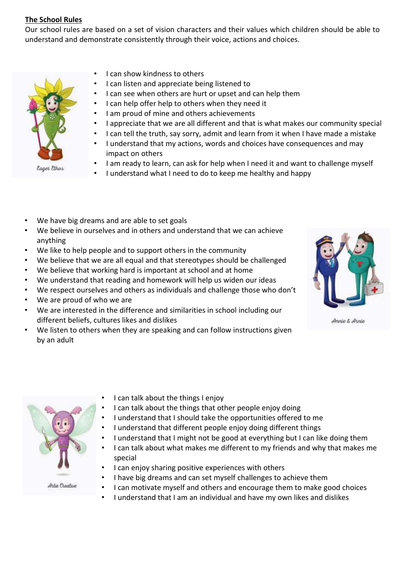# **The School Rules**

Our school rules are based on a set of vision characters and their values which children should be able to understand and demonstrate consistently through their voice, actions and choices.



• I can show kindness to others

- I can listen and appreciate being listened to
- I can see when others are hurt or upset and can help them
- I can help offer help to others when they need it
- I am proud of mine and others achievements
- I appreciate that we are all different and that is what makes our community special
- I can tell the truth, say sorry, admit and learn from it when I have made a mistake
- I understand that my actions, words and choices have consequences and may impact on others
- I am ready to learn, can ask for help when I need it and want to challenge myself
- I understand what I need to do to keep me healthy and happy
- We have big dreams and are able to set goals
- We believe in ourselves and in others and understand that we can achieve anything
- We like to help people and to support others in the community
- We believe that we are all equal and that stereotypes should be challenged
- We believe that working hard is important at school and at home
- We understand that reading and homework will help us widen our ideas
- We respect ourselves and others as individuals and challenge those who don't
- We are proud of who we are
- We are interested in the difference and similarities in school including our different beliefs, cultures likes and dislikes
- We listen to others when they are speaking and can follow instructions given by an adult



Annie & Arnie



- I can talk about the things I enjoy
- I can talk about the things that other people enjoy doing
- I understand that I should take the opportunities offered to me
- I understand that different people enjoy doing different things
- I understand that I might not be good at everything but I can like doing them
- I can talk about what makes me different to my friends and why that makes me special
	- I can enjoy sharing positive experiences with others
	- I have big dreams and can set myself challenges to achieve them
- I can motivate myself and others and encourage them to make good choices
- I understand that I am an individual and have my own likes and dislikes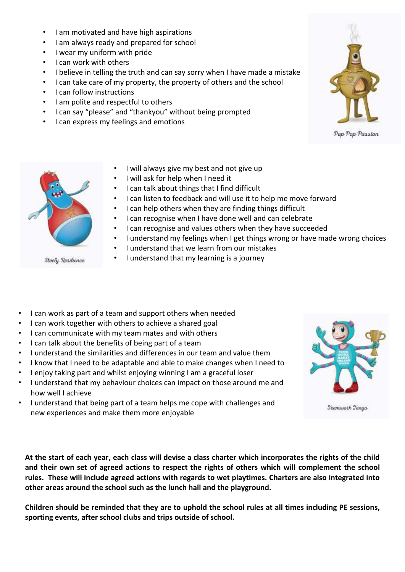- I am motivated and have high aspirations
- I am always ready and prepared for school
- I wear my uniform with pride
- I can work with others
- I believe in telling the truth and can say sorry when I have made a mistake
- I can take care of my property, the property of others and the school
- I can follow instructions
- I am polite and respectful to others
- I can say "please" and "thankyou" without being prompted
- I can express my feelings and emotions





Steely Resilience

- I will always give my best and not give up
- I will ask for help when I need it
- I can talk about things that I find difficult
- I can listen to feedback and will use it to help me move forward
- I can help others when they are finding things difficult
- I can recognise when I have done well and can celebrate
- I can recognise and values others when they have succeeded
- I understand my feelings when I get things wrong or have made wrong choices
- I understand that we learn from our mistakes
- I understand that my learning is a journey
- I can work as part of a team and support others when needed
- I can work together with others to achieve a shared goal
- I can communicate with my team mates and with others
- I can talk about the benefits of being part of a team
- I understand the similarities and differences in our team and value them
- I know that I need to be adaptable and able to make changes when I need to
- I enjoy taking part and whilst enjoying winning I am a graceful loser
- I understand that my behaviour choices can impact on those around me and how well I achieve
- I understand that being part of a team helps me cope with challenges and new experiences and make them more enjoyable



Teamwork Tango

**At the start of each year, each class will devise a class charter which incorporates the rights of the child and their own set of agreed actions to respect the rights of others which will complement the school rules. These will include agreed actions with regards to wet playtimes. Charters are also integrated into other areas around the school such as the lunch hall and the playground.** 

**Children should be reminded that they are to uphold the school rules at all times including PE sessions, sporting events, after school clubs and trips outside of school.**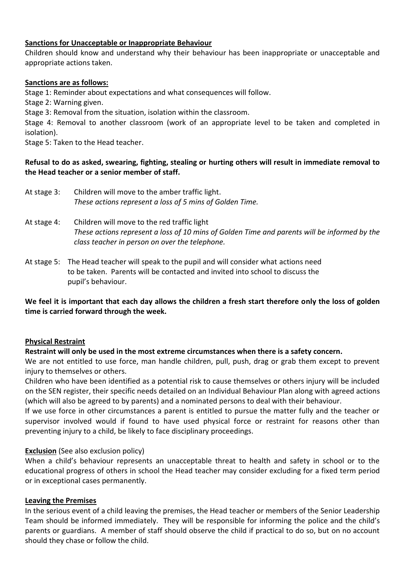#### **Sanctions for Unacceptable or Inappropriate Behaviour**

Children should know and understand why their behaviour has been inappropriate or unacceptable and appropriate actions taken.

#### **Sanctions are as follows:**

Stage 1: Reminder about expectations and what consequences will follow.

Stage 2: Warning given.

Stage 3: Removal from the situation, isolation within the classroom.

Stage 4: Removal to another classroom (work of an appropriate level to be taken and completed in isolation).

Stage 5: Taken to the Head teacher.

#### **Refusal to do as asked, swearing, fighting, stealing or hurting others will result in immediate removal to the Head teacher or a senior member of staff.**

- At stage 3: Children will move to the amber traffic light. *These actions represent a loss of 5 mins of Golden Time.*
- At stage 4: Children will move to the red traffic light *These actions represent a loss of 10 mins of Golden Time and parents will be informed by the class teacher in person on over the telephone.*
- At stage 5: The Head teacher will speak to the pupil and will consider what actions need to be taken. Parents will be contacted and invited into school to discuss the pupil's behaviour.

# **We feel it is important that each day allows the children a fresh start therefore only the loss of golden time is carried forward through the week.**

# **Physical Restraint**

# **Restraint will only be used in the most extreme circumstances when there is a safety concern.**

We are not entitled to use force, man handle children, pull, push, drag or grab them except to prevent injury to themselves or others.

Children who have been identified as a potential risk to cause themselves or others injury will be included on the SEN register, their specific needs detailed on an Individual Behaviour Plan along with agreed actions (which will also be agreed to by parents) and a nominated persons to deal with their behaviour.

If we use force in other circumstances a parent is entitled to pursue the matter fully and the teacher or supervisor involved would if found to have used physical force or restraint for reasons other than preventing injury to a child, be likely to face disciplinary proceedings.

# **Exclusion** (See also exclusion policy)

When a child's behaviour represents an unacceptable threat to health and safety in school or to the educational progress of others in school the Head teacher may consider excluding for a fixed term period or in exceptional cases permanently.

#### **Leaving the Premises**

In the serious event of a child leaving the premises, the Head teacher or members of the Senior Leadership Team should be informed immediately. They will be responsible for informing the police and the child's parents or guardians. A member of staff should observe the child if practical to do so, but on no account should they chase or follow the child.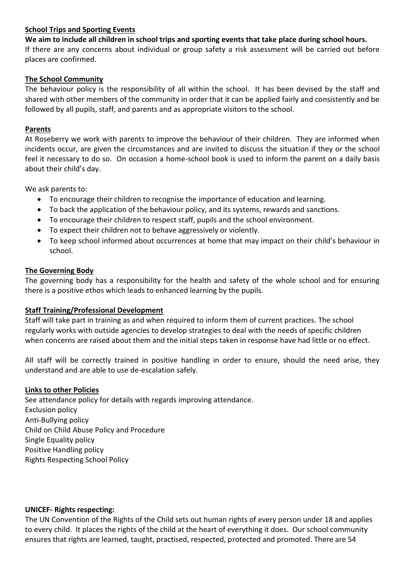#### **School Trips and Sporting Events**

**We aim to include all children in school trips and sporting events that take place during school hours.** If there are any concerns about individual or group safety a risk assessment will be carried out before places are confirmed.

# **The School Community**

The behaviour policy is the responsibility of all within the school. It has been devised by the staff and shared with other members of the community in order that it can be applied fairly and consistently and be followed by all pupils, staff, and parents and as appropriate visitors to the school.

# **Parents**

At Roseberry we work with parents to improve the behaviour of their children. They are informed when incidents occur, are given the circumstances and are invited to discuss the situation if they or the school feel it necessary to do so. On occasion a home-school book is used to inform the parent on a daily basis about their child's day.

We ask parents to:

- To encourage their children to recognise the importance of education and learning.
- To back the application of the behaviour policy, and its systems, rewards and sanctions.
- To encourage their children to respect staff, pupils and the school environment.
- To expect their children not to behave aggressively or violently.
- To keep school informed about occurrences at home that may impact on their child's behaviour in school.

# **The Governing Body**

The governing body has a responsibility for the health and safety of the whole school and for ensuring there is a positive ethos which leads to enhanced learning by the pupils.

# **Staff Training/Professional Development**

Staff will take part in training as and when required to inform them of current practices. The school regularly works with outside agencies to develop strategies to deal with the needs of specific children when concerns are raised about them and the initial steps taken in response have had little or no effect.

All staff will be correctly trained in positive handling in order to ensure, should the need arise, they understand and are able to use de-escalation safely.

# **Links to other Policies**

See attendance policy for details with regards improving attendance. Exclusion policy Anti-Bullying policy Child on Child Abuse Policy and Procedure Single Equality policy Positive Handling policy Rights Respecting School Policy

# **UNICEF- Rights respecting:**

The UN Convention of the Rights of the Child sets out human rights of every person under 18 and applies to every child. It places the rights of the child at the heart of everything it does. Our school community ensures that rights are learned, taught, practised, respected, protected and promoted. There are 54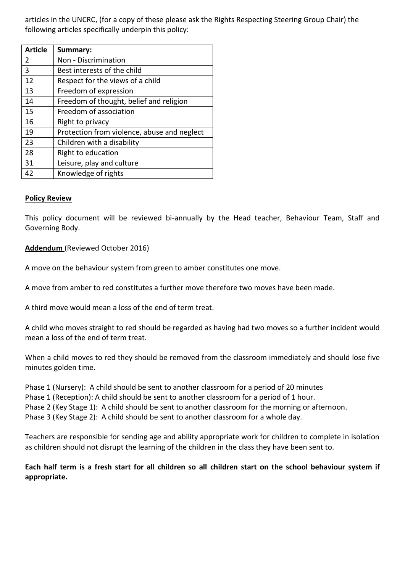articles in the UNCRC, (for a copy of these please ask the Rights Respecting Steering Group Chair) the following articles specifically underpin this policy:

| <b>Article</b> | Summary:                                    |
|----------------|---------------------------------------------|
| 2              | Non - Discrimination                        |
| 3              | Best interests of the child                 |
| 12             | Respect for the views of a child            |
| 13             | Freedom of expression                       |
| 14             | Freedom of thought, belief and religion     |
| 15             | Freedom of association                      |
| 16             | Right to privacy                            |
| 19             | Protection from violence, abuse and neglect |
| 23             | Children with a disability                  |
| 28             | Right to education                          |
| 31             | Leisure, play and culture                   |
| 42             | Knowledge of rights                         |

#### **Policy Review**

This policy document will be reviewed bi-annually by the Head teacher, Behaviour Team, Staff and Governing Body.

**Addendum** (Reviewed October 2016)

A move on the behaviour system from green to amber constitutes one move.

A move from amber to red constitutes a further move therefore two moves have been made.

A third move would mean a loss of the end of term treat.

A child who moves straight to red should be regarded as having had two moves so a further incident would mean a loss of the end of term treat.

When a child moves to red they should be removed from the classroom immediately and should lose five minutes golden time.

Phase 1 (Nursery): A child should be sent to another classroom for a period of 20 minutes Phase 1 (Reception): A child should be sent to another classroom for a period of 1 hour. Phase 2 (Key Stage 1): A child should be sent to another classroom for the morning or afternoon. Phase 3 (Key Stage 2): A child should be sent to another classroom for a whole day.

Teachers are responsible for sending age and ability appropriate work for children to complete in isolation as children should not disrupt the learning of the children in the class they have been sent to.

**Each half term is a fresh start for all children so all children start on the school behaviour system if appropriate.**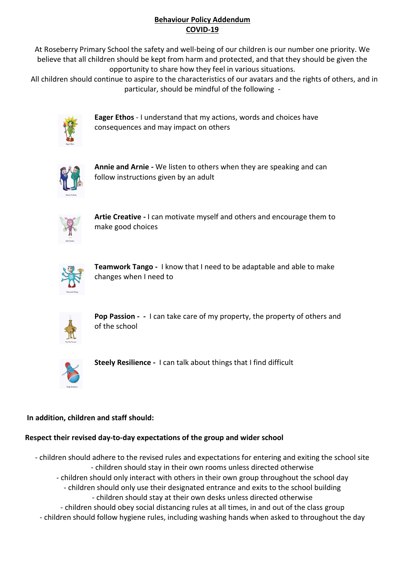# **Behaviour Policy Addendum COVID-19**

At Roseberry Primary School the safety and well-being of our children is our number one priority. We believe that all children should be kept from harm and protected, and that they should be given the opportunity to share how they feel in various situations.

 All children should continue to aspire to the characteristics of our avatars and the rights of others, and in particular, should be mindful of the following -



**Eager Ethos** - I understand that my actions, words and choices have consequences and may impact on others



**Annie and Arnie -** We listen to others when they are speaking and can follow instructions given by an adult



**Artie Creative -** I can motivate myself and others and encourage them to make good choices



**Teamwork Tango -** I know that I need to be adaptable and able to make changes when I need to



**Pop Passion - -** I can take care of my property, the property of others and of the school



**Steely Resilience -** I can talk about things that I find difficult

# **In addition, children and staff should:**

# **Respect their revised day-to-day expectations of the group and wider school**

- children should adhere to the revised rules and expectations for entering and exiting the school site - children should stay in their own rooms unless directed otherwise

- children should only interact with others in their own group throughout the school day

- children should only use their designated entrance and exits to the school building

- children should stay at their own desks unless directed otherwise

- children should obey social distancing rules at all times, in and out of the class group

- children should follow hygiene rules, including washing hands when asked to throughout the day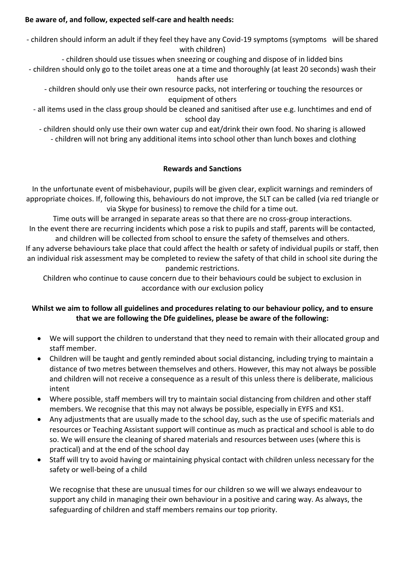# **Be aware of, and follow, expected self-care and health needs:**

- children should inform an adult if they feel they have any Covid-19 symptoms (symptoms will be shared with children)

- children should use tissues when sneezing or coughing and dispose of in lidded bins

- children should only go to the toilet areas one at a time and thoroughly (at least 20 seconds) wash their hands after use

- children should only use their own resource packs, not interfering or touching the resources or equipment of others

- all items used in the class group should be cleaned and sanitised after use e.g. lunchtimes and end of school day

- children should only use their own water cup and eat/drink their own food. No sharing is allowed - children will not bring any additional items into school other than lunch boxes and clothing

# **Rewards and Sanctions**

In the unfortunate event of misbehaviour, pupils will be given clear, explicit warnings and reminders of appropriate choices. If, following this, behaviours do not improve, the SLT can be called (via red triangle or via Skype for business) to remove the child for a time out.

Time outs will be arranged in separate areas so that there are no cross-group interactions. In the event there are recurring incidents which pose a risk to pupils and staff, parents will be contacted, and children will be collected from school to ensure the safety of themselves and others.

If any adverse behaviours take place that could affect the health or safety of individual pupils or staff, then an individual risk assessment may be completed to review the safety of that child in school site during the pandemic restrictions.

Children who continue to cause concern due to their behaviours could be subject to exclusion in accordance with our exclusion policy

# **Whilst we aim to follow all guidelines and procedures relating to our behaviour policy, and to ensure that we are following the Dfe guidelines, please be aware of the following:**

- We will support the children to understand that they need to remain with their allocated group and staff member.
- Children will be taught and gently reminded about social distancing, including trying to maintain a distance of two metres between themselves and others. However, this may not always be possible and children will not receive a consequence as a result of this unless there is deliberate, malicious intent
- Where possible, staff members will try to maintain social distancing from children and other staff members. We recognise that this may not always be possible, especially in EYFS and KS1.
- Any adjustments that are usually made to the school day, such as the use of specific materials and resources or Teaching Assistant support will continue as much as practical and school is able to do so. We will ensure the cleaning of shared materials and resources between uses (where this is practical) and at the end of the school day
- Staff will try to avoid having or maintaining physical contact with children unless necessary for the safety or well-being of a child

We recognise that these are unusual times for our children so we will we always endeavour to support any child in managing their own behaviour in a positive and caring way. As always, the safeguarding of children and staff members remains our top priority.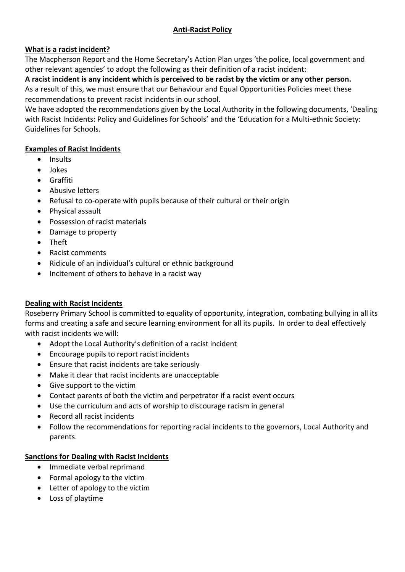# **Anti-Racist Policy**

# **What is a racist incident?**

The Macpherson Report and the Home Secretary's Action Plan urges 'the police, local government and other relevant agencies' to adopt the following as their definition of a racist incident:

# **A racist incident is any incident which is perceived to be racist by the victim or any other person.** As a result of this, we must ensure that our Behaviour and Equal Opportunities Policies meet these recommendations to prevent racist incidents in our school.

We have adopted the recommendations given by the Local Authority in the following documents, 'Dealing with Racist Incidents: Policy and Guidelines for Schools' and the 'Education for a Multi-ethnic Society: Guidelines for Schools.

# **Examples of Racist Incidents**

- Insults
- lokes
- Graffiti
- Abusive letters
- Refusal to co-operate with pupils because of their cultural or their origin
- Physical assault
- Possession of racist materials
- Damage to property
- Theft
- Racist comments
- Ridicule of an individual's cultural or ethnic background
- Incitement of others to behave in a racist way

# **Dealing with Racist Incidents**

Roseberry Primary School is committed to equality of opportunity, integration, combating bullying in all its forms and creating a safe and secure learning environment for all its pupils. In order to deal effectively with racist incidents we will:

- Adopt the Local Authority's definition of a racist incident
- Encourage pupils to report racist incidents
- Ensure that racist incidents are take seriously
- Make it clear that racist incidents are unacceptable
- Give support to the victim
- Contact parents of both the victim and perpetrator if a racist event occurs
- Use the curriculum and acts of worship to discourage racism in general
- Record all racist incidents
- Follow the recommendations for reporting racial incidents to the governors, Local Authority and parents.

# **Sanctions for Dealing with Racist Incidents**

- Immediate verbal reprimand
- Formal apology to the victim
- Letter of apology to the victim
- Loss of playtime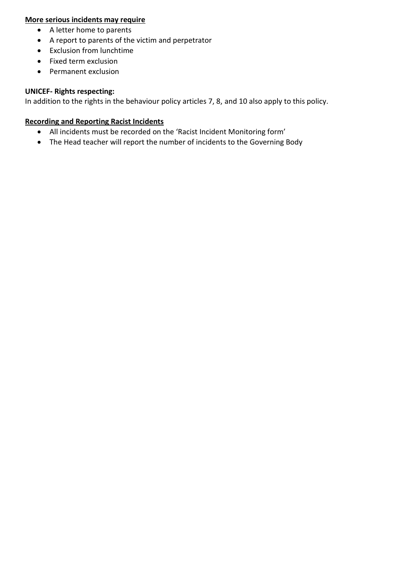# **More serious incidents may require**

- A letter home to parents
- A report to parents of the victim and perpetrator
- Exclusion from lunchtime
- Fixed term exclusion
- Permanent exclusion

#### **UNICEF- Rights respecting:**

In addition to the rights in the behaviour policy articles 7, 8, and 10 also apply to this policy.

#### **Recording and Reporting Racist Incidents**

- All incidents must be recorded on the 'Racist Incident Monitoring form'
- The Head teacher will report the number of incidents to the Governing Body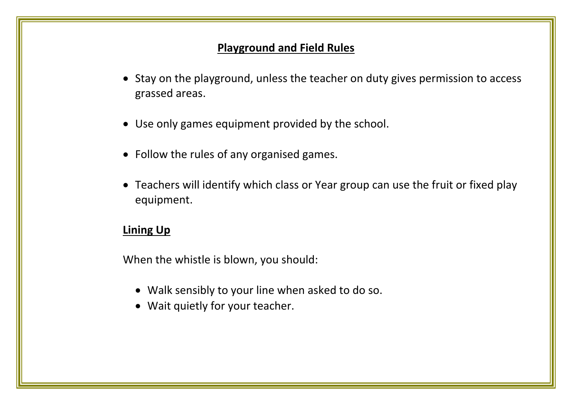# **Playground and Field Rules**

- Stay on the playground, unless the teacher on duty gives permission to access grassed areas.
- Use only games equipment provided by the school.
- Follow the rules of any organised games.
- Teachers will identify which class or Year group can use the fruit or fixed play equipment.

# **Lining Up**

When the whistle is blown, you should:

- Walk sensibly to your line when asked to do so.
- Wait quietly for your teacher.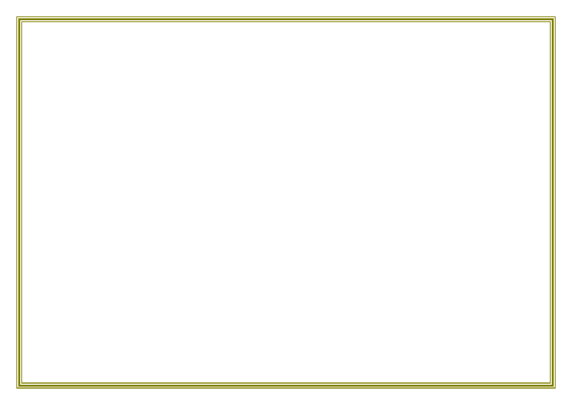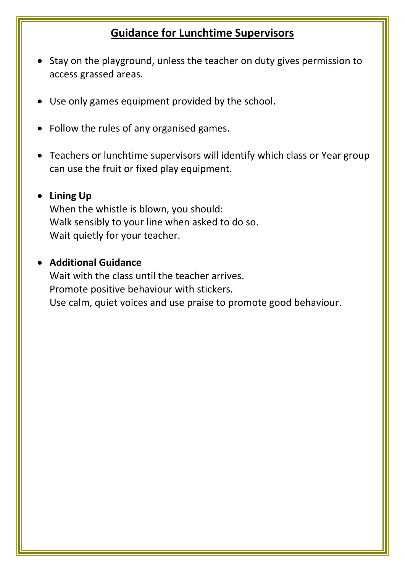# **Guidance for Lunchtime Supervisors**

- Stay on the playground, unless the teacher on duty gives permission to access grassed areas.
- Use only games equipment provided by the school.
- Follow the rules of any organised games.
- Teachers or lunchtime supervisors will identify which class or Year group can use the fruit or fixed play equipment.

# **Lining Up**

When the whistle is blown, you should: Walk sensibly to your line when asked to do so. Wait quietly for your teacher.

# **Additional Guidance**

Wait with the class until the teacher arrives. Promote positive behaviour with stickers. Use calm, quiet voices and use praise to promote good behaviour.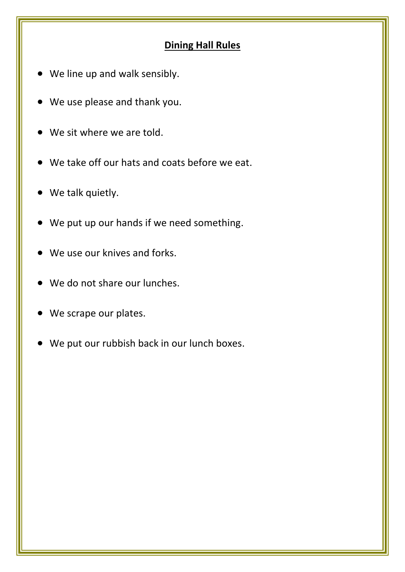# **Dining Hall Rules**

- We line up and walk sensibly.
- We use please and thank you.
- We sit where we are told.
- We take off our hats and coats before we eat.
- We talk quietly.
- We put up our hands if we need something.
- We use our knives and forks.
- We do not share our lunches.
- We scrape our plates.
- We put our rubbish back in our lunch boxes.